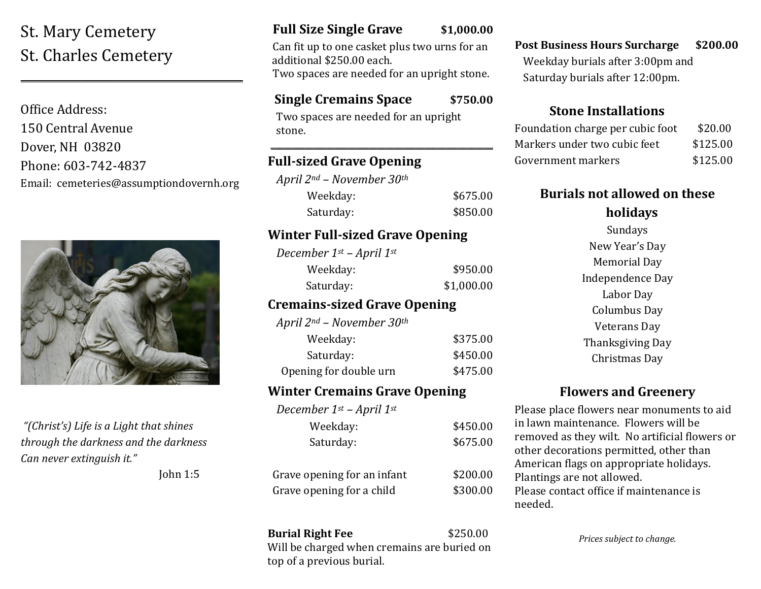# St. Mary Cemetery St. Charles Cemetery

Office Address: 150 Central Avenue Dover, NH 03820 Phone: 603-742-4837 Email: cemeteries@assumptiondovernh.org

**\_\_\_\_\_\_\_\_\_\_\_\_\_\_\_\_\_\_\_\_\_\_\_\_\_\_\_\_\_\_\_\_\_\_\_\_\_\_\_\_\_\_\_\_\_\_\_\_\_\_\_\_**



*"(Christ's) Life is a Light that shines through the darkness and the darkness Can never extinguish it."* 

John 1:5

## **Full Size Single Grave \$1,000.00**

 Can fit up to one casket plus two urns for an additional \$250.00 each. Two spaces are needed for an upright stone.

### **Single Cremains Space \$750.00**

\_\_\_\_\_\_\_\_\_\_\_\_\_\_\_\_\_\_\_\_\_\_\_\_\_\_\_\_\_\_\_\_\_\_\_\_\_\_\_\_\_\_\_\_\_\_\_\_\_\_\_\_

Two spaces are needed for an upright stone.

### **Full-sized Grave Opening**

*April 2nd – November 30th* Weekday: \$675.00 Saturday: \$850.00

### **Winter Full-sized Grave Opening**

| December 1st – April 1st |            |
|--------------------------|------------|
| Weekday:                 | \$950.00   |
| Saturday:                | \$1,000.00 |

### **Cremains-sized Grave Opening**

*April 2nd – November 30th*

| Weekday:               | \$375.00 |
|------------------------|----------|
| Saturday:              | \$450.00 |
| Opening for double urn | \$475.00 |

### **Winter Cremains Grave Opening**

| December $1^{st}$ – April $1^{st}$ |          |
|------------------------------------|----------|
| Weekday:                           | \$450.00 |
| Saturday:                          | \$675.00 |
|                                    |          |
| Grave opening for an infant        | \$200.00 |
| Grave opening for a child          | \$300.00 |
|                                    |          |

**Burial Right Fee** \$250.00 Will be charged when cremains are buried on top of a previous burial.

**Post Business Hours Surcharge \$200.00** Weekday burials after 3:00pm and Saturday burials after 12:00pm.

### **Stone Installations**

| Foundation charge per cubic foot | \$20.00  |
|----------------------------------|----------|
| Markers under two cubic feet     | \$125.00 |
| Government markers               | \$125.00 |

### **Burials not allowed on these holidays**

Sundays New Year's Day Memorial Day Independence Day Labor Day Columbus Day Veterans Day Thanksgiving Day Christmas Day

## **Flowers and Greenery**

Please place flowers near monuments to aid in lawn maintenance. Flowers will be removed as they wilt. No artificial flowers or other decorations permitted, other than American flags on appropriate holidays. Plantings are not allowed. Please contact office if maintenance is needed.

*Prices subject to change.*